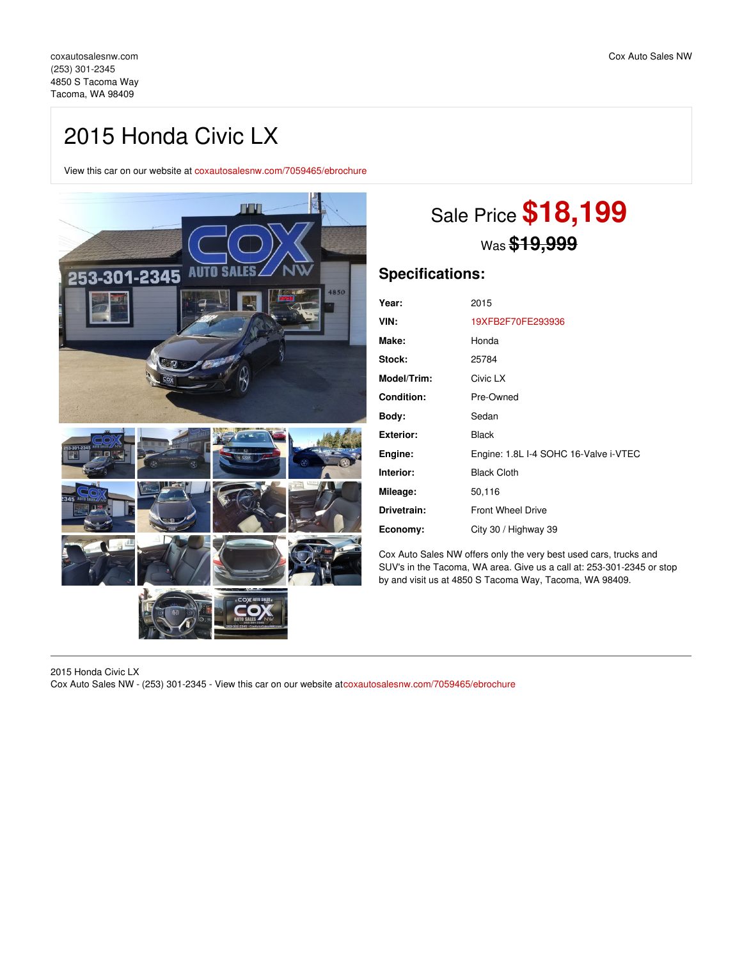## 2015 Honda Civic LX

View this car on our website at [coxautosalesnw.com/7059465/ebrochure](https://coxautosalesnw.com/vehicle/7059465/2015-honda-civic-lx-tacoma-wa-98409/7059465/ebrochure)



# Sale Price **\$18,199** Was **\$19,999**

## **Specifications:**

| Year:              | 2015                                  |
|--------------------|---------------------------------------|
| VIN:               | 19XFB2F70FE293936                     |
| Make:              | Honda                                 |
| Stock:             | 25784                                 |
| <b>Model/Trim:</b> | Civic LX                              |
| <b>Condition:</b>  | Pre-Owned                             |
| Body:              | Sedan                                 |
| Exterior:          | <b>Black</b>                          |
| Engine:            | Engine: 1.8L I-4 SOHC 16-Valve i-VTEC |
| Interior:          | <b>Black Cloth</b>                    |
| Mileage:           | 50,116                                |
| Drivetrain:        | <b>Front Wheel Drive</b>              |
| Economy:           | City 30 / Highway 39                  |

Cox Auto Sales NW offers only the very best used cars, trucks and SUV's in the Tacoma, WA area. Give us a call at: 253-301-2345 or stop by and visit us at 4850 S Tacoma Way, Tacoma, WA 98409.

2015 Honda Civic LX Cox Auto Sales NW - (253) 301-2345 - View this car on our website at[coxautosalesnw.com/7059465/ebrochure](https://coxautosalesnw.com/vehicle/7059465/2015-honda-civic-lx-tacoma-wa-98409/7059465/ebrochure)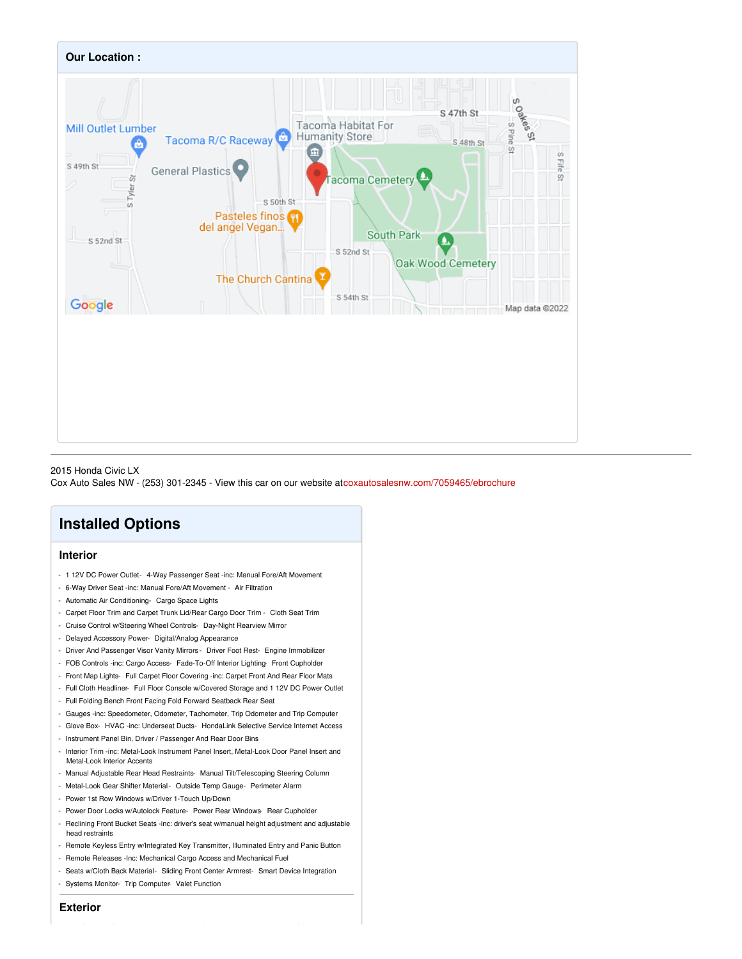

#### 2015 Honda Civic LX

Cox Auto Sales NW - (253) 301-2345 - View this car on our website at[coxautosalesnw.com/7059465/ebrochure](https://coxautosalesnw.com/vehicle/7059465/2015-honda-civic-lx-tacoma-wa-98409/7059465/ebrochure)

## **Installed Options**

## **Interior**

- 1 12V DC Power Outlet- 4-Way Passenger Seat -inc: Manual Fore/Aft Movement
- 6-Way Driver Seat -inc: Manual Fore/Aft Movement Air Filtration
- Automatic Air Conditioning- Cargo Space Lights
- Carpet Floor Trim and Carpet Trunk Lid/Rear Cargo Door Trim Cloth Seat Trim
- Cruise Control w/Steering Wheel Controls- Day-Night Rearview Mirror
- Delayed Accessory Power- Digital/Analog Appearance
- Driver And Passenger Visor Vanity Mirrors Driver Foot Rest- Engine Immobilizer
- FOB Controls -inc: Cargo Access- Fade-To-Off Interior Lighting- Front Cupholder
- Front Map Lights- Full Carpet Floor Covering -inc: Carpet Front And Rear Floor Mats
- Full Cloth Headliner- Full Floor Console w/Covered Storage and 1 12V DC Power Outlet
- Full Folding Bench Front Facing Fold Forward Seatback Rear Seat
- Gauges -inc: Speedometer, Odometer, Tachometer, Trip Odometer and Trip Computer
- Glove Box- HVAC -inc: Underseat Ducts- HondaLink Selective Service Internet Access
- Instrument Panel Bin, Driver / Passenger And Rear Door Bins
- Interior Trim -inc: Metal-Look Instrument Panel Insert, Metal-Look Door Panel Insert and Metal-Look Interior Accents
- Manual Adjustable Rear Head Restraints- Manual Tilt/Telescoping Steering Column
- Metal-Look Gear Shifter Material- Outside Temp Gauge- Perimeter Alarm
- Power 1st Row Windows w/Driver 1-Touch Up/Down
- Power Door Locks w/Autolock Feature- Power Rear Windows- Rear Cupholder
- Reclining Front Bucket Seats -inc: driver's seat w/manual height adjustment and adjustable head restraints
- Remote Keyless Entry w/Integrated Key Transmitter, Illuminated Entry and Panic Button
- Remote Releases -Inc: Mechanical Cargo Access and Mechanical Fuel
- Seats w/Cloth Back Material- Sliding Front Center Armrest- Smart Device Integration
- Systems Monitor- Trip Computer- Valet Function

**Exterior**